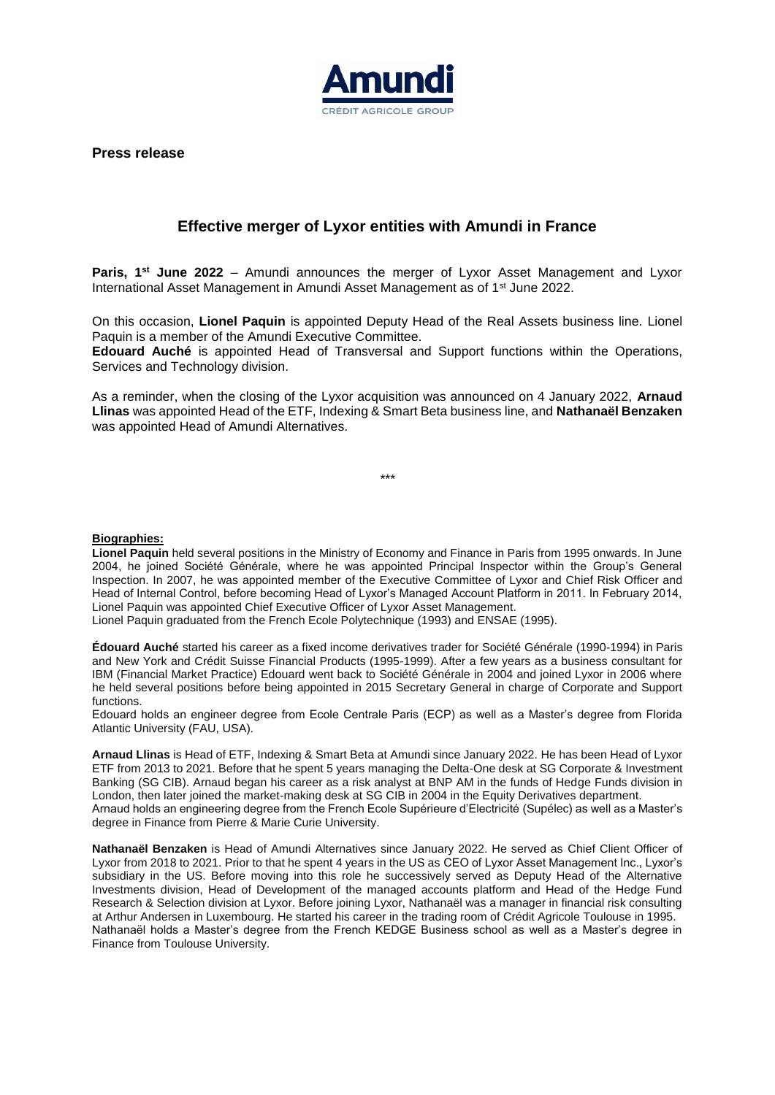

**Press release** 

## **Effective merger of Lyxor entities with Amundi in France**

**Paris, 1st June 2022** – Amundi announces the merger of Lyxor Asset Management and Lyxor International Asset Management in Amundi Asset Management as of 1<sup>st</sup> June 2022.

On this occasion, **Lionel Paquin** is appointed Deputy Head of the Real Assets business line. Lionel Paquin is a member of the Amundi Executive Committee.

**Edouard Auché** is appointed Head of Transversal and Support functions within the Operations, Services and Technology division.

As a reminder, when the closing of the Lyxor acquisition was announced on 4 January 2022, **Arnaud Llinas** was appointed Head of the ETF, Indexing & Smart Beta business line, and **Nathanaël Benzaken** was appointed Head of Amundi Alternatives.

*\*\*\**

**Biographies:**

**Lionel Paquin** held several positions in the Ministry of Economy and Finance in Paris from 1995 onwards. In June 2004, he joined Société Générale, where he was appointed Principal Inspector within the Group's General Inspection. In 2007, he was appointed member of the Executive Committee of Lyxor and Chief Risk Officer and Head of Internal Control, before becoming Head of Lyxor's Managed Account Platform in 2011. In February 2014, Lionel Paquin was appointed Chief Executive Officer of Lyxor Asset Management.

Lionel Paquin graduated from the French Ecole Polytechnique (1993) and ENSAE (1995).

**Édouard Auché** started his career as a fixed income derivatives trader for Société Générale (1990-1994) in Paris and New York and Crédit Suisse Financial Products (1995-1999). After a few years as a business consultant for IBM (Financial Market Practice) Edouard went back to Société Générale in 2004 and joined Lyxor in 2006 where he held several positions before being appointed in 2015 Secretary General in charge of Corporate and Support functions.

Edouard holds an engineer degree from Ecole Centrale Paris (ECP) as well as a Master's degree from Florida Atlantic University (FAU, USA).

**Arnaud Llinas** is Head of ETF, Indexing & Smart Beta at Amundi since January 2022. He has been Head of Lyxor ETF from 2013 to 2021. Before that he spent 5 years managing the Delta-One desk at SG Corporate & Investment Banking (SG CIB). Arnaud began his career as a risk analyst at BNP AM in the funds of Hedge Funds division in London, then later joined the market-making desk at SG CIB in 2004 in the Equity Derivatives department. Arnaud holds an engineering degree from the French Ecole Supérieure d'Electricité (Supélec) as well as a Master's degree in Finance from Pierre & Marie Curie University.

**Nathanaël Benzaken** is Head of Amundi Alternatives since January 2022. He served as Chief Client Officer of Lyxor from 2018 to 2021. Prior to that he spent 4 years in the US as CEO of Lyxor Asset Management Inc., Lyxor's subsidiary in the US. Before moving into this role he successively served as Deputy Head of the Alternative Investments division, Head of Development of the managed accounts platform and Head of the Hedge Fund Research & Selection division at Lyxor. Before joining Lyxor, Nathanaël was a manager in financial risk consulting at Arthur Andersen in Luxembourg. He started his career in the trading room of Crédit Agricole Toulouse in 1995. Nathanaël holds a Master's degree from the French KEDGE Business school as well as a Master's degree in Finance from Toulouse University.